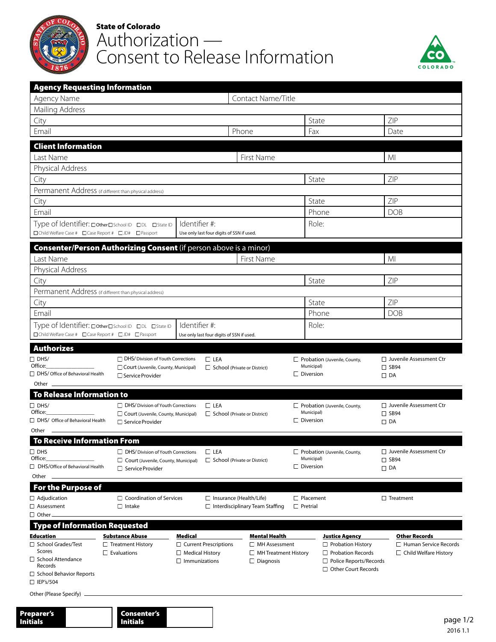

## State of Colorado Authorization — Consent to Release Information



| <b>Agency Requesting Information</b><br>Agency Name Department of Human Serivces |                                                                             |                                                            | Contact Name/Title Carley Lane         |                                            |                                                        |                                             |  |
|----------------------------------------------------------------------------------|-----------------------------------------------------------------------------|------------------------------------------------------------|----------------------------------------|--------------------------------------------|--------------------------------------------------------|---------------------------------------------|--|
| Mailing Address 252 S 14th Street                                                |                                                                             |                                                            |                                        |                                            |                                                        |                                             |  |
| City Burlington                                                                  |                                                                             |                                                            |                                        | State co                                   |                                                        | ZIP 80807                                   |  |
| Email carley.lane@state.co.us                                                    |                                                                             |                                                            | Phone 719-342-9508                     | Fax 719-346-8066                           |                                                        | Date 06/30/2021                             |  |
| <b>Client Information</b>                                                        |                                                                             |                                                            |                                        |                                            |                                                        |                                             |  |
| Last Name                                                                        |                                                                             |                                                            | First Name                             |                                            | MI                                                     |                                             |  |
| Physical Address                                                                 |                                                                             |                                                            |                                        |                                            |                                                        |                                             |  |
| City                                                                             |                                                                             |                                                            |                                        | State                                      | ZIP                                                    |                                             |  |
| Permanent Address (if different than physical address)                           |                                                                             |                                                            |                                        |                                            |                                                        |                                             |  |
| City                                                                             |                                                                             |                                                            |                                        | State                                      | ZIP                                                    |                                             |  |
| Email                                                                            |                                                                             |                                                            |                                        | Phone                                      |                                                        | <b>DOB</b>                                  |  |
| □Child Welfare Case # □ Case Report # □ JD# □ Passport                           | Type of Identifier: DotherDSchool ID DDL DState ID                          | Identifier #:<br>Use only last four digits of SSN if used. |                                        | Role:                                      |                                                        |                                             |  |
|                                                                                  | Consenter/Person Authorizing Consent (if person above is a minor)           |                                                            |                                        |                                            |                                                        |                                             |  |
| Last Name                                                                        |                                                                             |                                                            | First Name                             |                                            | MI                                                     |                                             |  |
| Physical Address                                                                 |                                                                             |                                                            |                                        |                                            |                                                        |                                             |  |
| City                                                                             |                                                                             |                                                            |                                        | State                                      | ZIP                                                    |                                             |  |
| Permanent Address (if different than physical address)                           |                                                                             |                                                            |                                        |                                            |                                                        |                                             |  |
| City                                                                             |                                                                             |                                                            |                                        | State                                      | ZIP                                                    |                                             |  |
| Email                                                                            |                                                                             |                                                            |                                        | Phone                                      | <b>DOB</b>                                             |                                             |  |
| □Child Welfare Case # □Case Report # □JD# □Passport                              | Type of Identifier: DotherDSchool ID DDL DState ID                          | Identifier #:<br>Use only last four digits of SSN if used. |                                        | Role:                                      |                                                        |                                             |  |
| <b>Authorizes</b>                                                                |                                                                             |                                                            |                                        |                                            |                                                        |                                             |  |
| $\Box$ DHS/                                                                      | <b>DHS</b> /Division of Youth Corrections                                   | $\Box$ LEA                                                 |                                        | Probation (Juvenile, County,               |                                                        | □ Juvenile Assessment Ctr                   |  |
| Office:                                                                          | Court (Juvenile, County, Municipal)                                         |                                                            | $\Box$ School (Private or District)    | Municipal)                                 | $\Box$ SB94                                            |                                             |  |
| □ DHS/ Office of Behavioral Health                                               | □ Service Provider                                                          |                                                            |                                        | $\Box$ Diversion                           | $\Box$ DA                                              |                                             |  |
| Other $\_\_$<br><b>To Release Information to</b>                                 |                                                                             |                                                            |                                        |                                            |                                                        |                                             |  |
| $\Box$ DHS/                                                                      | □ DHS/ Division of Youth Corrections                                        | $\Box$ LEA                                                 |                                        |                                            |                                                        | □ Juvenile Assessment Ctr                   |  |
| Office:                                                                          | Court (Juvenile, County, Municipal)                                         |                                                            | $\Box$ School (Private or District)    | Probation (Juvenile, County,<br>Municipal) |                                                        | $\square$ SB94                              |  |
| $\Box$ DHS/ Office of Behavioral Health                                          | $\Box$ Service Provider                                                     |                                                            |                                        | $\Box$ Diversion                           |                                                        | $\Box$ DA                                   |  |
| Other                                                                            |                                                                             |                                                            |                                        |                                            |                                                        |                                             |  |
| <b>To Receive Information From</b>                                               |                                                                             |                                                            |                                        |                                            |                                                        |                                             |  |
| $\Box$ DHS<br>Office:                                                            | □ DHS/ Division of Youth Corrections<br>Court (Juvenile, County, Municipal) | $\Box$ LEA                                                 | $\Box$ School (Private or District)    | Probation (Juvenile, County,<br>Municipal) |                                                        | □ Juvenile Assessment Ctr<br>$\square$ SB94 |  |
| □ DHS/Office of Behavioral Health                                                | $\Box$ Service Provider                                                     |                                                            |                                        | $\Box$ Diversion                           |                                                        | $\Box$ DA                                   |  |
| Other                                                                            |                                                                             |                                                            |                                        |                                            |                                                        |                                             |  |
| <b>For the Purpose of</b>                                                        |                                                                             |                                                            |                                        |                                            |                                                        |                                             |  |
| $\Box$ Adjudication                                                              | $\Box$ Coordination of Services                                             |                                                            | $\Box$ Insurance (Health/Life)         | $\Box$ Placement                           |                                                        | $\Box$ Treatment                            |  |
| $\Box$ Assessment                                                                | $\Box$ Intake                                                               |                                                            | $\Box$ Interdisciplinary Team Staffing | $\Box$ Pretrial                            |                                                        |                                             |  |
|                                                                                  |                                                                             |                                                            |                                        |                                            |                                                        |                                             |  |
| $\Box$ Other.                                                                    |                                                                             |                                                            | <b>Mental Health</b>                   | <b>Justice Agency</b>                      |                                                        | Other Records                               |  |
| <b>Type of Information Requested</b><br><b>Education</b>                         | <b>Substance Abuse</b>                                                      | <b>Medical</b>                                             |                                        |                                            |                                                        | $\Box$ Human Service Records                |  |
| □ School Grades/Test                                                             | $\Box$ Treatment History                                                    | $\Box$ Current Prescriptions                               | $\Box$ MH Assessment                   | $\Box$ Probation History                   |                                                        |                                             |  |
| Scores<br>□ School Attendance                                                    | $\Box$ Evaluations                                                          | $\Box$ Medical History                                     | $\Box$ MH Treatment History            |                                            | $\Box$ Probation Records                               | $\Box$ Child Welfare History                |  |
| Records                                                                          |                                                                             | $\Box$ Immunizations                                       | $\Box$ Diagnosis                       |                                            | $\Box$ Police Reports/Records<br>□ Other Court Records |                                             |  |
| $\Box$ School Behavior Reports<br>$\Box$ IEP's/504                               |                                                                             |                                                            |                                        |                                            |                                                        |                                             |  |
| Other (Please Specify)                                                           |                                                                             |                                                            |                                        |                                            |                                                        |                                             |  |